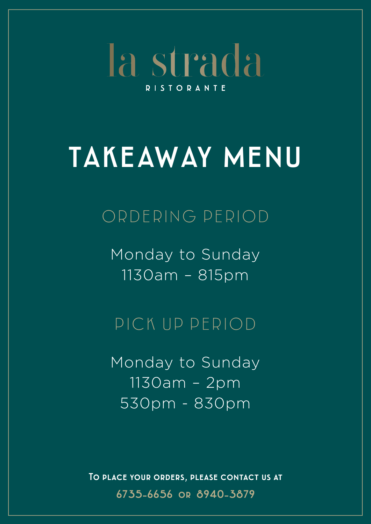la strada **RISTORANTE** 

# TAKEAWAY MENU

## ORDERING PERIOD

Monday to Sunday 1130am – 815pm

## PICK UP PERIOD

Monday to Sunday 1130am – 2pm 530pm - 830pm

To place your orders, please contact us at 6735-6656 or 8940-3879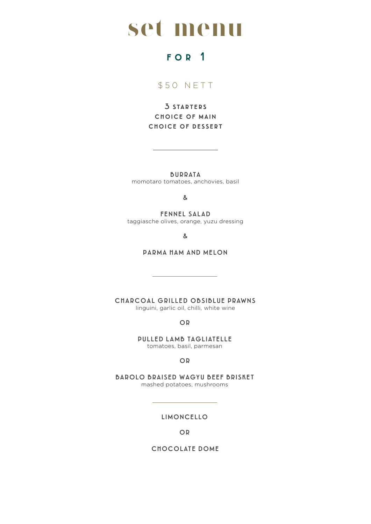## **set menu**

### FOR 1

### \$ 5 0 N E T T

3 starters choice of main choice of dessert

BURRATA

momotaro tomatoes, anchovies, basil

&

FENNEL SALAD taggiasche olives, orange, yuzu dressing

&

PARMA HAM AND MELON

CHARCOAL GRILLED OBSIBLUE PRAWNS linguini, garlic oil, chilli, white wine

OR

PULLED LAMB TAGLIATELLE tomatoes, basil, parmesan

OR

BAROLO BRAISED WAGYU BEEF BRISKET mashed potatoes, mushrooms

LIMONCELLO

OR

CHOCOLATE DOME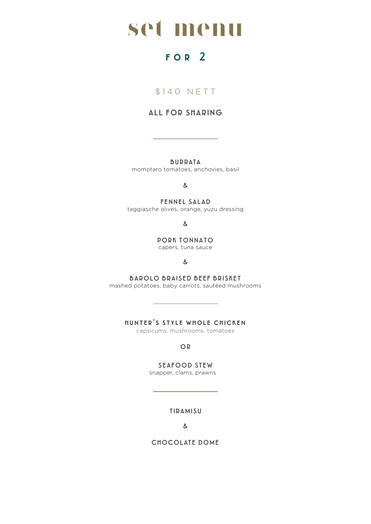## **set menu**

### FOR<sub>2</sub>

### \$140 NETT

### ALL FOR SHARING

BURRATA momotaro tomatoes, anchovies, basil

&

FENNEL SALAD taggiasche olives, orange, yuzu dressing

&

PORK TONNATO capers, tuna sauce

&

BAROLO BRAISED BEEF BRISKET mashed potatoes, baby carrots, sautéed mushrooms

hunter's style whole chicken

capsicums, mushrooms, tomatoes

OR

SEAFOOD STEW

snapper, clams, prawns

TIRAMISU

&

CHOCOLATE DOME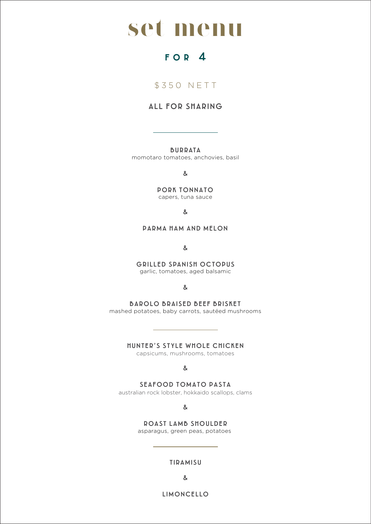

### FOR 4

\$ 3 5 0 N E T T

### ALL FOR SHARING

BURRATA

momotaro tomatoes, anchovies, basil

&

PORK TONNATO capers, tuna sauce

&

PARMA HAM AND MELON

&

GRILLED SPANISH OCTOPUS garlic, tomatoes, aged balsamic

&

BAROLO BRAISED BEEF BRISKET mashed potatoes, baby carrots, sautéed mushrooms

HUNTER'S STYLE WHOLE CHICKEN

capsicums, mushrooms, tomatoes

&

SEAFOOD TOMATO PASTA

australian rock lobster, hokkaido scallops, clams

&

ROAST LAMB SHOULDER asparagus, green peas, potatoes

TIRAMISU

&

LIMONCELLO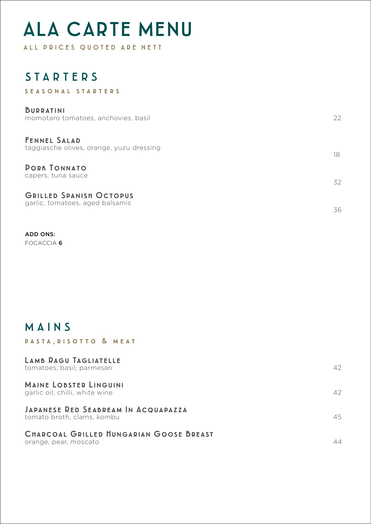## ALA CARTE MENU

ALL PRICES QUOTED ARE NETT

### **STARTERS**

#### SEASONAL STARTERS

| <b>BURRATINI</b><br>momotaro tomatoes, anchovies, basil           | 22 |
|-------------------------------------------------------------------|----|
| <b>FENNEL SALAD</b><br>taggiasche olives, orange, yuzu dressing   | 18 |
| <b>PORK TONNATO</b><br>capers, tuna sauce                         | 32 |
| <b>GRILLED SPANISH OCTOPUS</b><br>garlic, tomatoes, aged balsamic | 36 |

ADD ONS: FOCACCIA 6

### MAIN S

#### PASTA, RISOTTO & MEAT

| LAMB RAGU TAGLIATELLE<br>tomatoes, basil, parmesan                | 42 |
|-------------------------------------------------------------------|----|
| <b>MAINE LOBSTER LINGUINI</b><br>garlic oil, chilli, white wine   | 42 |
| JAPANESE RED SEABREAM IN ACQUAPAZZA<br>tomato broth, clams, kombu | 45 |
| CHARCOAL GRILLED HUNGARIAN GOOSE BREAST<br>orange, pear, moscato  | 44 |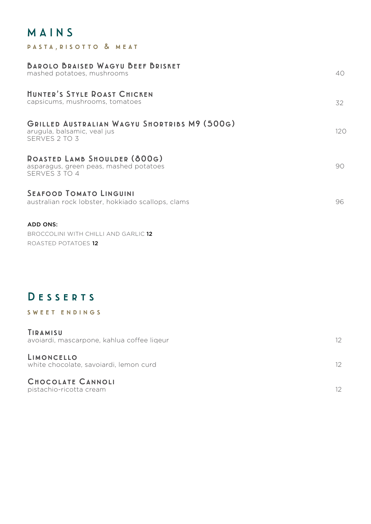### MAIN S

PASTA, RISOTTO & MEAT

| <b>BAROLO BRAISED WAGYU BEEF BRISKET</b><br>mashed potatoes, mushrooms                       | 40  |
|----------------------------------------------------------------------------------------------|-----|
| <b>HUNTER'S STYLE ROAST CHICKEN</b><br>capsicums, mushrooms, tomatoes                        | 32  |
| GRILLED AUSTRALIAN WAGYU SHORTRIBS M9 (500G)<br>arugula, balsamic, veal jus<br>SERVES 2 TO 3 | 120 |
| ROASTED LAMB SHOULDER (800G)<br>asparagus, green peas, mashed potatoes<br>SERVES 3 TO 4      | 90  |
| <b>SEAFOOD TOMATO LINGUINI</b><br>australian rock lobster, hokkiado scallops, clams          | 96  |
| <b>ADD ONS:</b><br>BROCCOLINI WITH CHILLI AND GARLIC 12<br>ROASTED POTATOES 12               |     |

### DESSERTS

#### SWEET ENDINGS

| TIRAMISU<br>avoiardi, mascarpone, kahlua coffee liqeur | 12 <sup>°</sup> |
|--------------------------------------------------------|-----------------|
| LIMONCELLO<br>white chocolate, savoiardi, lemon curd   | 12 <sup>°</sup> |
| <b>CHOCOLATE CANNOLI</b><br>pistachio-ricotta cream    |                 |